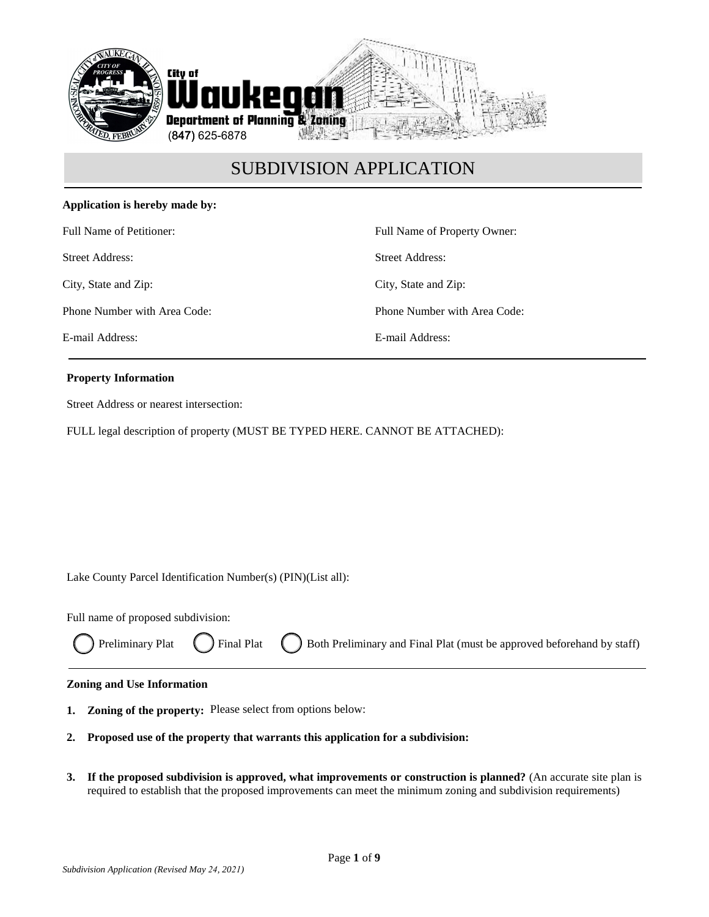

### **Application is hereby made by:**

Full Name of Petitioner:

Street Address:

City, State and Zip:

Phone Number with Area Code:

E-mail Address:

Full Name of Property Owner: Street Address: City, State and Zip: Phone Number with Area Code: E-mail Address:

### **Property Information**

Street Address or nearest intersection:

FULL legal description of property (MUST BE TYPED HERE. CANNOT BE ATTACHED):

Lake County Parcel Identification Number(s) (PIN)(List all):

Full name of proposed subdivision:

|  | ◯ Preliminary Plat ◯ Final Plat ◯ Both Preliminary and Final Plat (must be approved beforehand by staff) |
|--|----------------------------------------------------------------------------------------------------------|
|--|----------------------------------------------------------------------------------------------------------|

#### **Zoning and Use Information**

- **1. Zoning of the property:** Please select from options below:
- **2. Proposed use of the property that warrants this application for a subdivision:**
- **3. If the proposed subdivision is approved, what improvements or construction is planned?** (An accurate site plan is required to establish that the proposed improvements can meet the minimum zoning and subdivision requirements)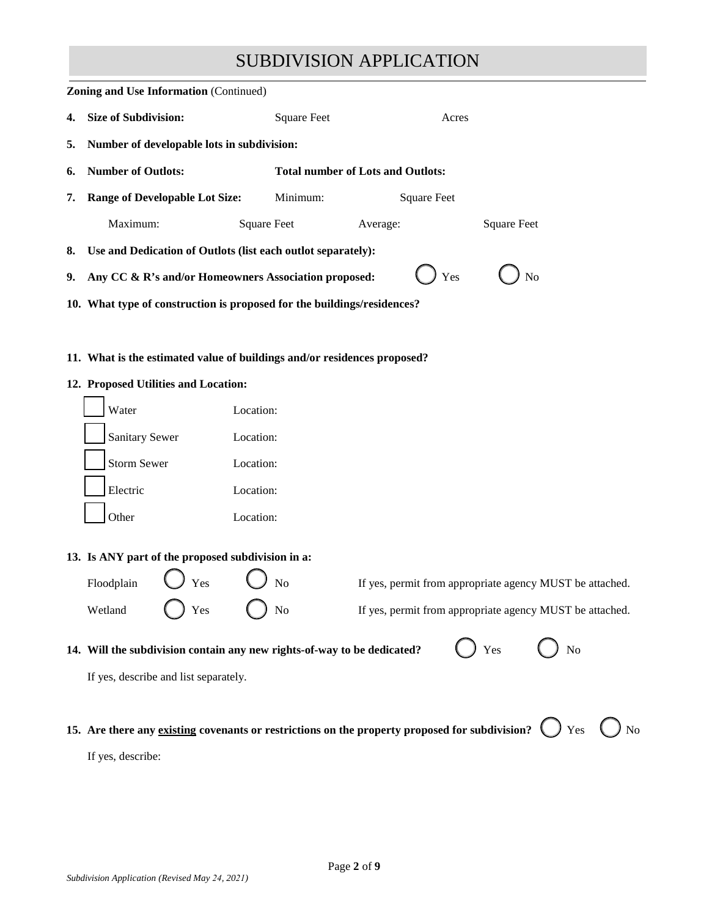|                                                                                                  | <b>Zoning and Use Information (Continued)</b>                            |                    |                                                                                                |                            |  |  |
|--------------------------------------------------------------------------------------------------|--------------------------------------------------------------------------|--------------------|------------------------------------------------------------------------------------------------|----------------------------|--|--|
| 4.                                                                                               | <b>Size of Subdivision:</b>                                              | <b>Square Feet</b> | Acres                                                                                          |                            |  |  |
| 5.                                                                                               | Number of developable lots in subdivision:                               |                    |                                                                                                |                            |  |  |
| 6.                                                                                               | <b>Number of Outlots:</b>                                                |                    | <b>Total number of Lots and Outlots:</b>                                                       |                            |  |  |
| 7.                                                                                               | <b>Range of Developable Lot Size:</b>                                    | Minimum:           | <b>Square Feet</b>                                                                             |                            |  |  |
|                                                                                                  | Maximum:                                                                 | <b>Square Feet</b> | <b>Square Feet</b><br>Average:                                                                 |                            |  |  |
| 8.                                                                                               | Use and Dedication of Outlots (list each outlot separately):             |                    |                                                                                                |                            |  |  |
| 9.                                                                                               | Any CC & R's and/or Homeowners Association proposed:                     |                    | Yes                                                                                            | No                         |  |  |
|                                                                                                  | 10. What type of construction is proposed for the buildings/residences?  |                    |                                                                                                |                            |  |  |
|                                                                                                  |                                                                          |                    |                                                                                                |                            |  |  |
|                                                                                                  | 11. What is the estimated value of buildings and/or residences proposed? |                    |                                                                                                |                            |  |  |
|                                                                                                  | 12. Proposed Utilities and Location:                                     |                    |                                                                                                |                            |  |  |
|                                                                                                  | Water                                                                    | Location:          |                                                                                                |                            |  |  |
|                                                                                                  | <b>Sanitary Sewer</b>                                                    | Location:          |                                                                                                |                            |  |  |
|                                                                                                  | <b>Storm Sewer</b>                                                       | Location:          |                                                                                                |                            |  |  |
|                                                                                                  | Electric                                                                 | Location:          |                                                                                                |                            |  |  |
|                                                                                                  | Other                                                                    | Location:          |                                                                                                |                            |  |  |
|                                                                                                  | 13. Is ANY part of the proposed subdivision in a:                        |                    |                                                                                                |                            |  |  |
|                                                                                                  | Floodplain<br>Yes                                                        | N <sub>o</sub>     | If yes, permit from appropriate agency MUST be attached.                                       |                            |  |  |
|                                                                                                  |                                                                          |                    |                                                                                                |                            |  |  |
|                                                                                                  | Yes<br>Wetland                                                           | No                 | If yes, permit from appropriate agency MUST be attached.                                       |                            |  |  |
| Yes<br>N <sub>o</sub><br>14. Will the subdivision contain any new rights-of-way to be dedicated? |                                                                          |                    |                                                                                                |                            |  |  |
|                                                                                                  | If yes, describe and list separately.                                    |                    |                                                                                                |                            |  |  |
|                                                                                                  |                                                                          |                    |                                                                                                |                            |  |  |
|                                                                                                  |                                                                          |                    | 15. Are there any existing covenants or restrictions on the property proposed for subdivision? | $\bigcup$ Yes $\bigcup$ No |  |  |
|                                                                                                  | If yes, describe:                                                        |                    |                                                                                                |                            |  |  |
|                                                                                                  |                                                                          |                    |                                                                                                |                            |  |  |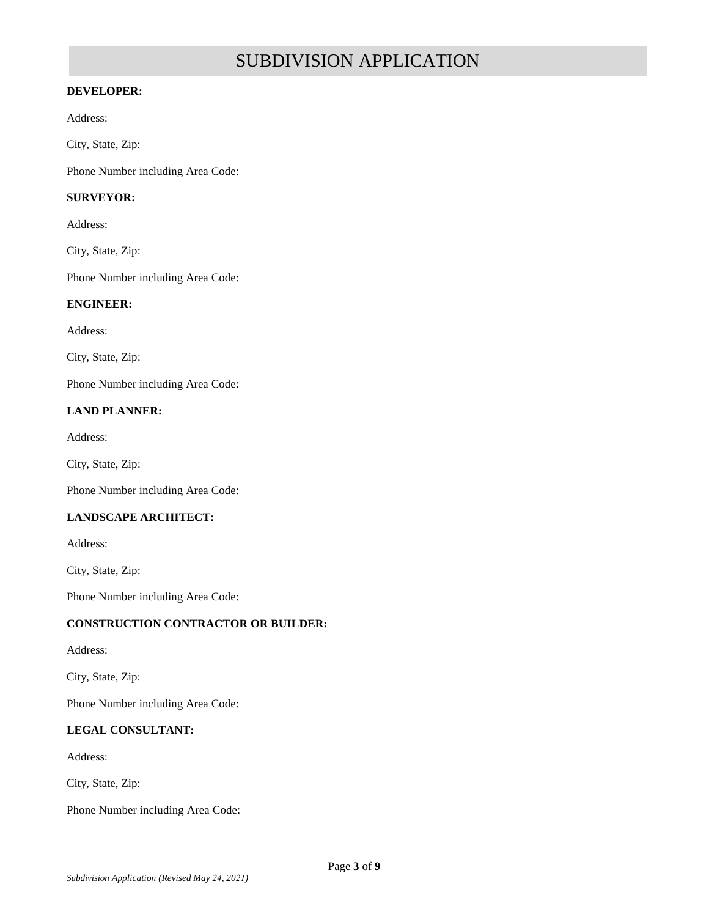### **DEVELOPER:**

Address:

City, State, Zip:

Phone Number including Area Code:

### **SURVEYOR:**

Address:

City, State, Zip:

Phone Number including Area Code:

#### **ENGINEER:**

Address:

City, State, Zip:

Phone Number including Area Code:

### **LAND PLANNER:**

Address:

City, State, Zip:

Phone Number including Area Code:

### **LANDSCAPE ARCHITECT:**

Address:

City, State, Zip:

Phone Number including Area Code:

### **CONSTRUCTION CONTRACTOR OR BUILDER:**

Address:

City, State, Zip:

Phone Number including Area Code:

### **LEGAL CONSULTANT:**

Address:

City, State, Zip:

Phone Number including Area Code: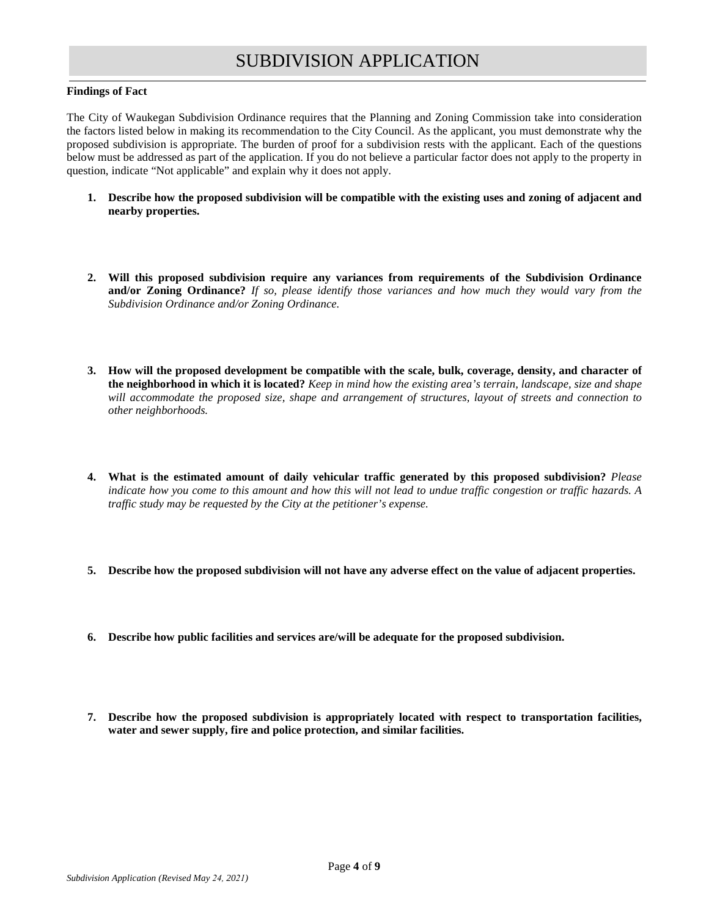#### **Findings of Fact**

The City of Waukegan Subdivision Ordinance requires that the Planning and Zoning Commission take into consideration the factors listed below in making its recommendation to the City Council. As the applicant, you must demonstrate why the proposed subdivision is appropriate. The burden of proof for a subdivision rests with the applicant. Each of the questions below must be addressed as part of the application. If you do not believe a particular factor does not apply to the property in question, indicate "Not applicable" and explain why it does not apply.

- **1. Describe how the proposed subdivision will be compatible with the existing uses and zoning of adjacent and nearby properties.**
- **2. Will this proposed subdivision require any variances from requirements of the Subdivision Ordinance and/or Zoning Ordinance?** *If so, please identify those variances and how much they would vary from the Subdivision Ordinance and/or Zoning Ordinance.*
- **3. How will the proposed development be compatible with the scale, bulk, coverage, density, and character of the neighborhood in which it is located?** *Keep in mind how the existing area's terrain, landscape, size and shape will accommodate the proposed size, shape and arrangement of structures, layout of streets and connection to other neighborhoods.*
- **4. What is the estimated amount of daily vehicular traffic generated by this proposed subdivision?** *Please indicate how you come to this amount and how this will not lead to undue traffic congestion or traffic hazards. A traffic study may be requested by the City at the petitioner's expense.*
- **5. Describe how the proposed subdivision will not have any adverse effect on the value of adjacent properties.**
- **6. Describe how public facilities and services are/will be adequate for the proposed subdivision.**
- **7. Describe how the proposed subdivision is appropriately located with respect to transportation facilities, water and sewer supply, fire and police protection, and similar facilities.**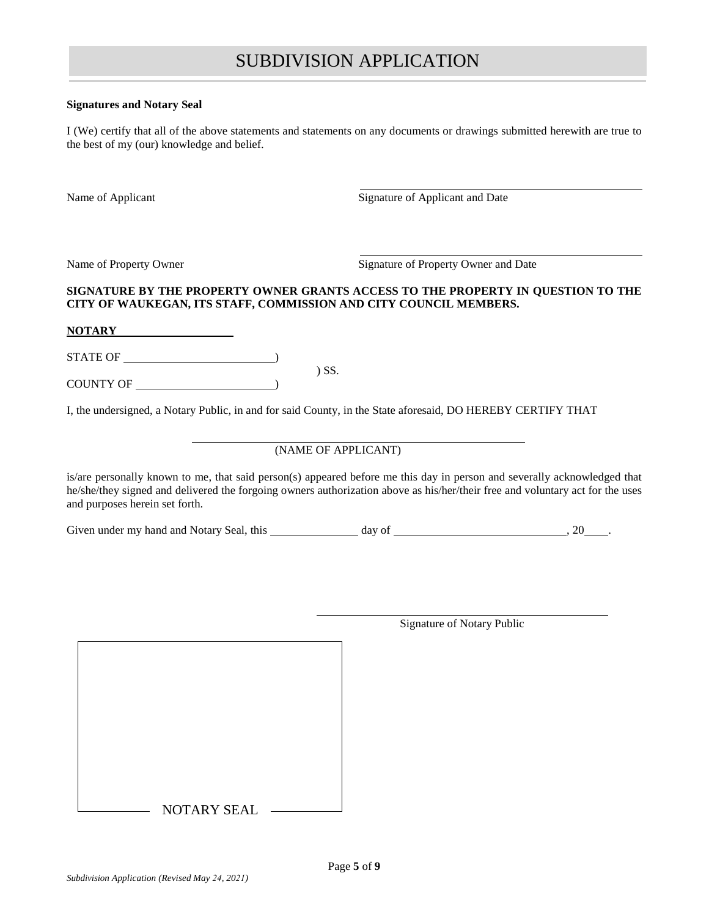#### **Signatures and Notary Seal**

I (We) certify that all of the above statements and statements on any documents or drawings submitted herewith are true to the best of my (our) knowledge and belief.

Name of Applicant Signature of Applicant and Date

Name of Property Owner Signature of Property Owner and Date

### **SIGNATURE BY THE PROPERTY OWNER GRANTS ACCESS TO THE PROPERTY IN QUESTION TO THE CITY OF WAUKEGAN, ITS STAFF, COMMISSION AND CITY COUNCIL MEMBERS.**

**NOTARY**

STATE OF  $\overline{\phantom{a}}$ 

COUNTY OF  $\_\_$ 

I, the undersigned, a Notary Public, in and for said County, in the State aforesaid, DO HEREBY CERTIFY THAT

) SS.

### (NAME OF APPLICANT)

is/are personally known to me, that said person(s) appeared before me this day in person and severally acknowledged that he/she/they signed and delivered the forgoing owners authorization above as his/her/their free and voluntary act for the uses and purposes herein set forth.

Given under my hand and Notary Seal, this day of  $\qquad \qquad$ , 20 .

NOTARY SEAL

Signature of Notary Public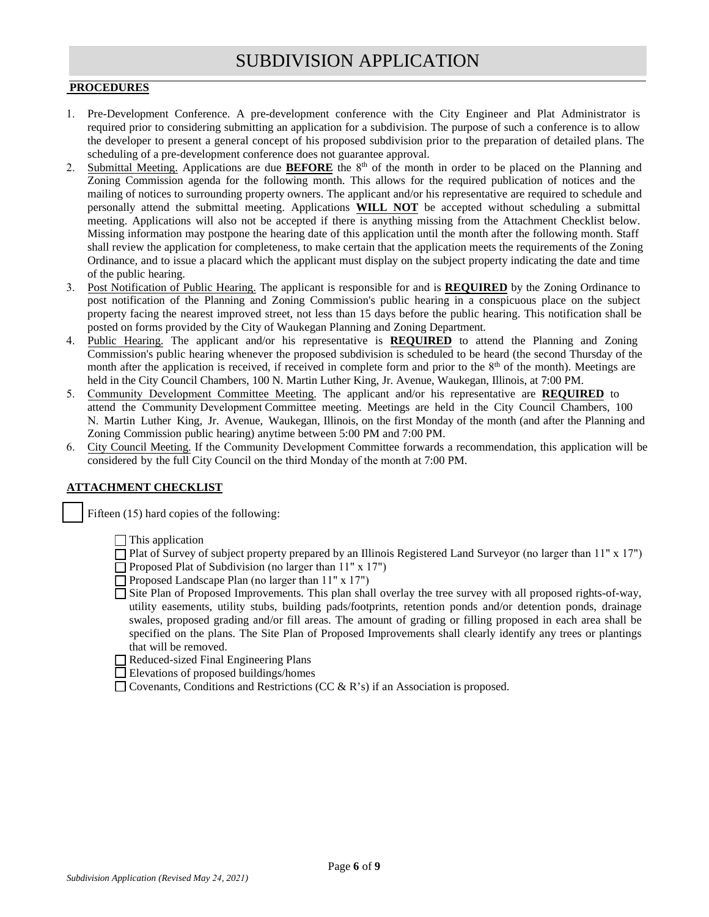### **PROCEDURES**

- 1. Pre-Development Conference. A pre-development conference with the City Engineer and Plat Administrator is required prior to considering submitting an application for a subdivision. The purpose of such a conference is to allow the developer to present a general concept of his proposed subdivision prior to the preparation of detailed plans. The scheduling of a pre-development conference does not guarantee approval.
- 2. Submittal Meeting. Applications are due **BEFORE** the 8<sup>th</sup> of the month in order to be placed on the Planning and Zoning Commission agenda for the following month. This allows for the required publication of notices and the mailing of notices to surrounding property owners. The applicant and/or his representative are required to schedule and personally attend the submittal meeting. Applications **WILL NOT** be accepted without scheduling a submittal meeting. Applications will also not be accepted if there is anything missing from the Attachment Checklist below. Missing information may postpone the hearing date of this application until the month after the following month. Staff shall review the application for completeness, to make certain that the application meets the requirements of the Zoning Ordinance, and to issue a placard which the applicant must display on the subject property indicating the date and time of the public hearing.
- 3. Post Notification of Public Hearing. The applicant is responsible for and is **REQUIRED** by the Zoning Ordinance to post notification of the Planning and Zoning Commission's public hearing in a conspicuous place on the subject property facing the nearest improved street, not less than 15 days before the public hearing. This notification shall be posted on forms provided by the City of Waukegan Planning and Zoning Department.
- 4. Public Hearing. The applicant and/or his representative is **REQUIRED** to attend the Planning and Zoning Commission's public hearing whenever the proposed subdivision is scheduled to be heard (the second Thursday of the month after the application is received, if received in complete form and prior to the  $8<sup>th</sup>$  of the month). Meetings are held in the City Council Chambers, 100 N. Martin Luther King, Jr. Avenue, Waukegan, Illinois, at 7:00 PM.
- 5. Community Development Committee Meeting. The applicant and/or his representative are **REQUIRED** to attend the Community Development Committee meeting. Meetings are held in the City Council Chambers, 100 N. Martin Luther King, Jr. Avenue, Waukegan, Illinois, on the first Monday of the month (and after the Planning and Zoning Commission public hearing) anytime between 5:00 PM and 7:00 PM.
- 6. City Council Meeting. If the Community Development Committee forwards a recommendation, this application will be considered by the full City Council on the third Monday of the month at 7:00 PM.

#### **ATTACHMENT CHECKLIST**

Fifteen (15) hard copies of the following:

 $\Box$  This application

- $\Box$  Plat of Survey of subject property prepared by an Illinois Registered Land Surveyor (no larger than 11" x 17")
- $\Box$  Proposed Plat of Subdivision (no larger than 11" x 17")
- $\Box$  Proposed Landscape Plan (no larger than 11" x 17")
- Site Plan of Proposed Improvements. This plan shall overlay the tree survey with all proposed rights-of-way, utility easements, utility stubs, building pads/footprints, retention ponds and/or detention ponds, drainage swales, proposed grading and/or fill areas. The amount of grading or filling proposed in each area shall be specified on the plans. The Site Plan of Proposed Improvements shall clearly identify any trees or plantings that will be removed.
- Reduced-sized Final Engineering Plans
- Elevations of proposed buildings/homes
- $\Box$  Covenants, Conditions and Restrictions (CC & R's) if an Association is proposed.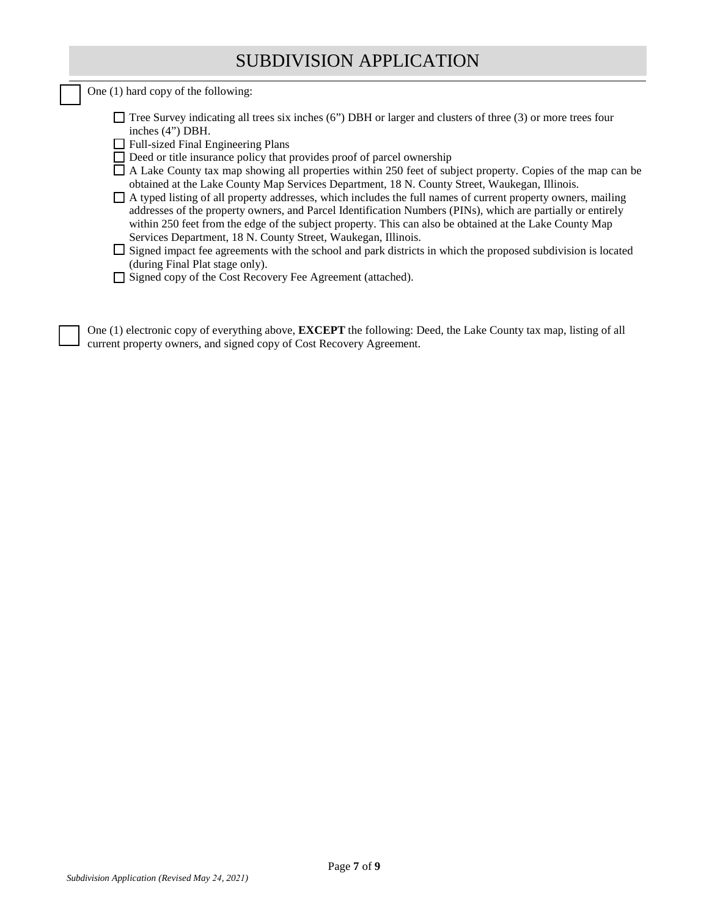One (1) hard copy of the following:

| $\Box$ Tree Survey indicating all trees six inches (6") DBH or larger and clusters of three (3) or more trees four |
|--------------------------------------------------------------------------------------------------------------------|
| inches $(4)$ DBH.                                                                                                  |

- □ Full-sized Final Engineering Plans
- $\Box$  Deed or title insurance policy that provides proof of parcel ownership
- $\Box$  A Lake County tax map showing all properties within 250 feet of subject property. Copies of the map can be obtained at the Lake County Map Services Department, 18 N. County Street, Waukegan, Illinois.
- A typed listing of all property addresses, which includes the full names of current property owners, mailing addresses of the property owners, and Parcel Identification Numbers (PINs), which are partially or entirely within 250 feet from the edge of the subject property. This can also be obtained at the Lake County Map Services Department, 18 N. County Street, Waukegan, Illinois.

 $\Box$  Signed impact fee agreements with the school and park districts in which the proposed subdivision is located (during Final Plat stage only).

□ Signed copy of the Cost Recovery Fee Agreement (attached).

One (1) electronic copy of everything above, **EXCEPT** the following: Deed, the Lake County tax map, listing of all current property owners, and signed copy of Cost Recovery Agreement.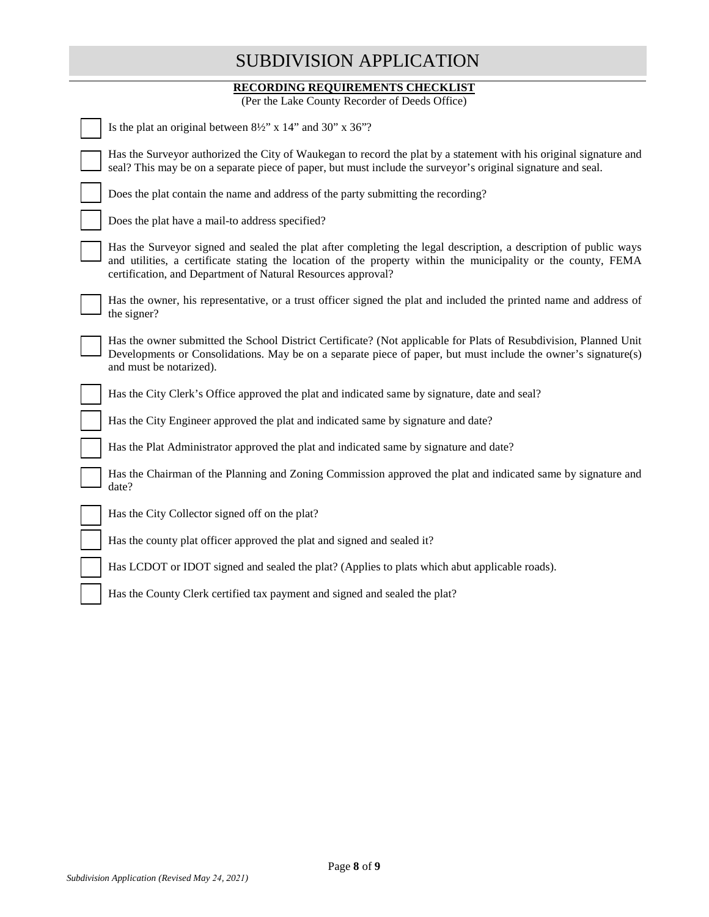### **RECORDING REQUIREMENTS CHECKLIST**

(Per the Lake County Recorder of Deeds Office)

| Is the plat an original between $8\frac{1}{2}$ " x 14" and 30" x 36"?                                                                                                                                                                                                                             |
|---------------------------------------------------------------------------------------------------------------------------------------------------------------------------------------------------------------------------------------------------------------------------------------------------|
| Has the Surveyor authorized the City of Waukegan to record the plat by a statement with his original signature and<br>seal? This may be on a separate piece of paper, but must include the surveyor's original signature and seal.                                                                |
| Does the plat contain the name and address of the party submitting the recording?                                                                                                                                                                                                                 |
| Does the plat have a mail-to address specified?                                                                                                                                                                                                                                                   |
| Has the Surveyor signed and sealed the plat after completing the legal description, a description of public ways<br>and utilities, a certificate stating the location of the property within the municipality or the county, FEMA<br>certification, and Department of Natural Resources approval? |
| Has the owner, his representative, or a trust officer signed the plat and included the printed name and address of<br>the signer?                                                                                                                                                                 |
| Has the owner submitted the School District Certificate? (Not applicable for Plats of Resubdivision, Planned Unit<br>Developments or Consolidations. May be on a separate piece of paper, but must include the owner's signature(s)<br>and must be notarized).                                    |
| Has the City Clerk's Office approved the plat and indicated same by signature, date and seal?                                                                                                                                                                                                     |
| Has the City Engineer approved the plat and indicated same by signature and date?                                                                                                                                                                                                                 |
| Has the Plat Administrator approved the plat and indicated same by signature and date?                                                                                                                                                                                                            |
| Has the Chairman of the Planning and Zoning Commission approved the plat and indicated same by signature and<br>date?                                                                                                                                                                             |
| Has the City Collector signed off on the plat?                                                                                                                                                                                                                                                    |
| Has the county plat officer approved the plat and signed and sealed it?                                                                                                                                                                                                                           |
| Has LCDOT or IDOT signed and sealed the plat? (Applies to plats which abut applicable roads).                                                                                                                                                                                                     |
| Has the County Clerk certified tax payment and signed and sealed the plat?                                                                                                                                                                                                                        |